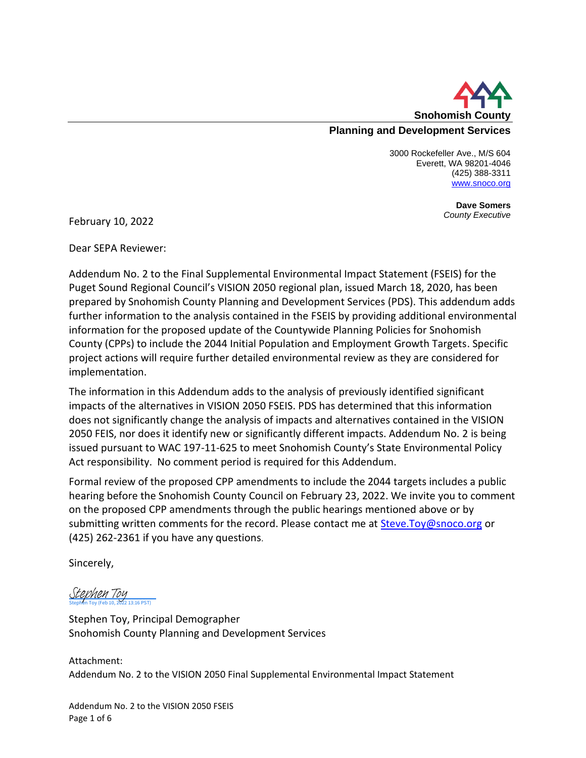

3000 Rockefeller Ave., M/S 604 Everett, WA 98201-4046 (425) 388-3311 [www.snoco.org](http://www.snoco.org/)

> **Dave Somers** *County Executive*

February 10, 2022

Dear SEPA Reviewer:

Addendum No. 2 to the Final Supplemental Environmental Impact Statement (FSEIS) for the Puget Sound Regional Council's VISION 2050 regional plan, issued March 18, 2020, has been prepared by Snohomish County Planning and Development Services (PDS). This addendum adds further information to the analysis contained in the FSEIS by providing additional environmental information for the proposed update of the Countywide Planning Policies for Snohomish County (CPPs) to include the 2044 Initial Population and Employment Growth Targets. Specific project actions will require further detailed environmental review as they are considered for implementation.

The information in this Addendum adds to the analysis of previously identified significant impacts of the alternatives in VISION 2050 FSEIS. PDS has determined that this information does not significantly change the analysis of impacts and alternatives contained in the VISION 2050 FEIS, nor does it identify new or significantly different impacts. Addendum No. 2 is being issued pursuant to WAC 197-11-625 to meet Snohomish County's State Environmental Policy Act responsibility. No comment period is required for this Addendum.

Formal review of the proposed CPP amendments to include the 2044 targets includes a public hearing before the Snohomish County Council on February 23, 2022. We invite you to comment on the proposed CPP amendments through the public hearings mentioned above or by submitting written comments for the record. Please contact me at **[Steve.Toy@snoco.org](mailto:Steve.Toy@snoco.org)** or (425) 262-2361 if you have any questions.

Sincerely,

Stephen Toy (Feb 10, 2022 13:16 PST) [Stephen Toy](https://na3.documents.adobe.com/verifier?tx=CBJCHBCAABAAo6faQkiJGCkngP6UNnx8JKiTS5tL1VcQ)

Stephen Toy, Principal Demographer Snohomish County Planning and Development Services

Attachment: Addendum No. 2 to the VISION 2050 Final Supplemental Environmental Impact Statement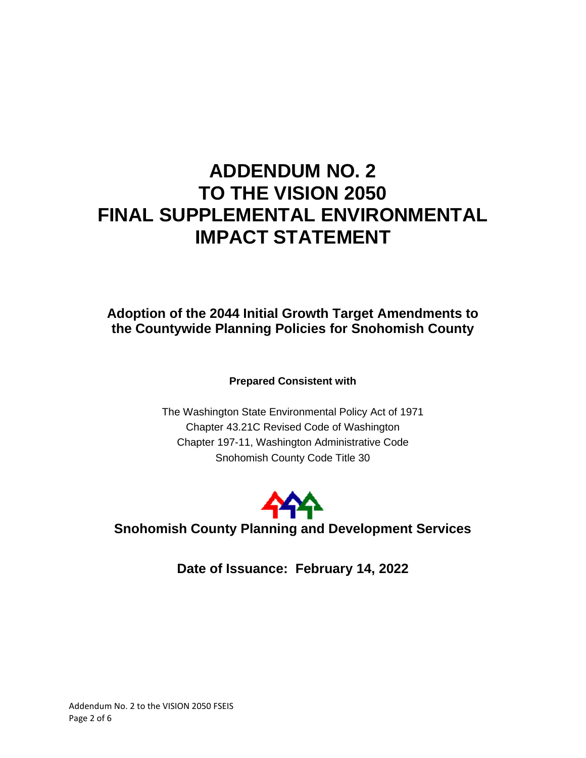# **ADDENDUM NO. 2 TO THE VISION 2050 FINAL SUPPLEMENTAL ENVIRONMENTAL IMPACT STATEMENT**

## **Adoption of the 2044 Initial Growth Target Amendments to the Countywide Planning Policies for Snohomish County**

**Prepared Consistent with**

The Washington State Environmental Policy Act of 1971 Chapter 43.21C Revised Code of Washington Chapter 197-11, Washington Administrative Code Snohomish County Code Title 30



**Snohomish County Planning and Development Services**

**Date of Issuance: February 14, 2022**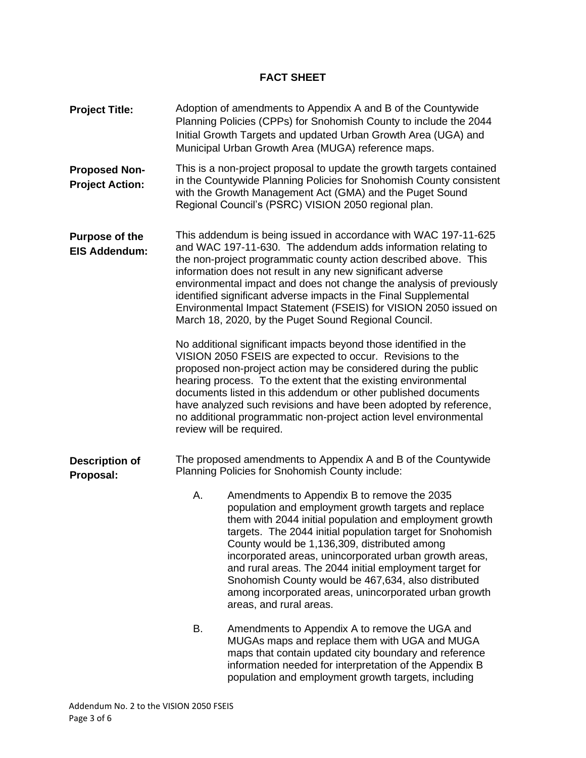## **FACT SHEET**

| <b>Project Title:</b>                          |                                                                                                                  | Adoption of amendments to Appendix A and B of the Countywide<br>Planning Policies (CPPs) for Snohomish County to include the 2044<br>Initial Growth Targets and updated Urban Growth Area (UGA) and<br>Municipal Urban Growth Area (MUGA) reference maps.                                                                                                                                                                                                                                                                                   |
|------------------------------------------------|------------------------------------------------------------------------------------------------------------------|---------------------------------------------------------------------------------------------------------------------------------------------------------------------------------------------------------------------------------------------------------------------------------------------------------------------------------------------------------------------------------------------------------------------------------------------------------------------------------------------------------------------------------------------|
| <b>Proposed Non-</b><br><b>Project Action:</b> |                                                                                                                  | This is a non-project proposal to update the growth targets contained<br>in the Countywide Planning Policies for Snohomish County consistent<br>with the Growth Management Act (GMA) and the Puget Sound<br>Regional Council's (PSRC) VISION 2050 regional plan.                                                                                                                                                                                                                                                                            |
| <b>Purpose of the</b><br><b>EIS Addendum:</b>  |                                                                                                                  | This addendum is being issued in accordance with WAC 197-11-625<br>and WAC 197-11-630. The addendum adds information relating to<br>the non-project programmatic county action described above. This<br>information does not result in any new significant adverse<br>environmental impact and does not change the analysis of previously<br>identified significant adverse impacts in the Final Supplemental<br>Environmental Impact Statement (FSEIS) for VISION 2050 issued on<br>March 18, 2020, by the Puget Sound Regional Council.   |
|                                                |                                                                                                                  | No additional significant impacts beyond those identified in the<br>VISION 2050 FSEIS are expected to occur. Revisions to the<br>proposed non-project action may be considered during the public<br>hearing process. To the extent that the existing environmental<br>documents listed in this addendum or other published documents<br>have analyzed such revisions and have been adopted by reference,<br>no additional programmatic non-project action level environmental<br>review will be required.                                   |
| <b>Description of</b><br>Proposal:             | The proposed amendments to Appendix A and B of the Countywide<br>Planning Policies for Snohomish County include: |                                                                                                                                                                                                                                                                                                                                                                                                                                                                                                                                             |
|                                                | А.                                                                                                               | Amendments to Appendix B to remove the 2035<br>population and employment growth targets and replace<br>them with 2044 initial population and employment growth<br>targets. The 2044 initial population target for Snohomish<br>County would be 1,136,309, distributed among<br>incorporated areas, unincorporated urban growth areas,<br>and rural areas. The 2044 initial employment target for<br>Snohomish County would be 467,634, also distributed<br>among incorporated areas, unincorporated urban growth<br>areas, and rural areas. |
|                                                | В.                                                                                                               | Amendments to Appendix A to remove the UGA and<br>MUGAs maps and replace them with UGA and MUGA<br>maps that contain updated city boundary and reference<br>information needed for interpretation of the Appendix B<br>population and employment growth targets, including                                                                                                                                                                                                                                                                  |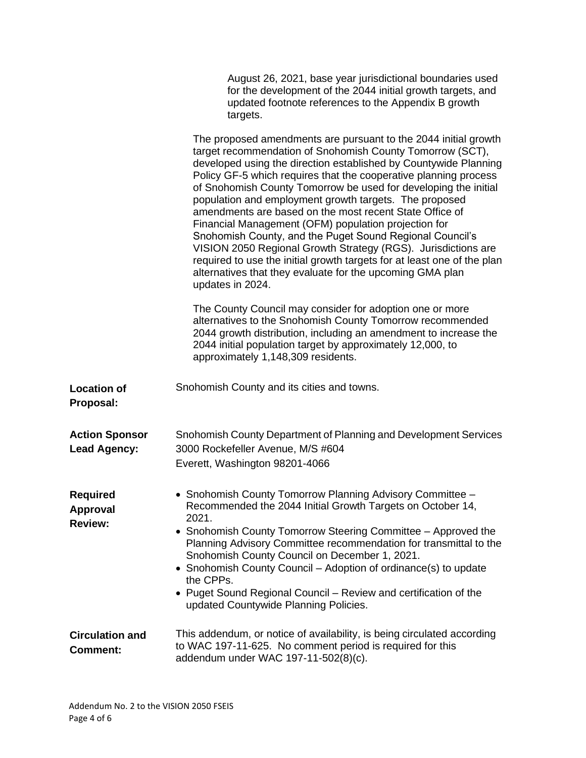|                                               | August 26, 2021, base year jurisdictional boundaries used<br>for the development of the 2044 initial growth targets, and<br>updated footnote references to the Appendix B growth<br>targets.                                                                                                                                                                                                                                                                                                                                                                                                                                                                                                                                                                                                                  |
|-----------------------------------------------|---------------------------------------------------------------------------------------------------------------------------------------------------------------------------------------------------------------------------------------------------------------------------------------------------------------------------------------------------------------------------------------------------------------------------------------------------------------------------------------------------------------------------------------------------------------------------------------------------------------------------------------------------------------------------------------------------------------------------------------------------------------------------------------------------------------|
|                                               | The proposed amendments are pursuant to the 2044 initial growth<br>target recommendation of Snohomish County Tomorrow (SCT),<br>developed using the direction established by Countywide Planning<br>Policy GF-5 which requires that the cooperative planning process<br>of Snohomish County Tomorrow be used for developing the initial<br>population and employment growth targets. The proposed<br>amendments are based on the most recent State Office of<br>Financial Management (OFM) population projection for<br>Snohomish County, and the Puget Sound Regional Council's<br>VISION 2050 Regional Growth Strategy (RGS). Jurisdictions are<br>required to use the initial growth targets for at least one of the plan<br>alternatives that they evaluate for the upcoming GMA plan<br>updates in 2024. |
|                                               | The County Council may consider for adoption one or more<br>alternatives to the Snohomish County Tomorrow recommended<br>2044 growth distribution, including an amendment to increase the<br>2044 initial population target by approximately 12,000, to<br>approximately 1,148,309 residents.                                                                                                                                                                                                                                                                                                                                                                                                                                                                                                                 |
| <b>Location of</b><br>Proposal:               | Snohomish County and its cities and towns.                                                                                                                                                                                                                                                                                                                                                                                                                                                                                                                                                                                                                                                                                                                                                                    |
| <b>Action Sponsor</b><br><b>Lead Agency:</b>  | Snohomish County Department of Planning and Development Services<br>3000 Rockefeller Avenue, M/S #604<br>Everett, Washington 98201-4066                                                                                                                                                                                                                                                                                                                                                                                                                                                                                                                                                                                                                                                                       |
| <b>Required</b><br>Approval<br><b>Review:</b> | • Snohomish County Tomorrow Planning Advisory Committee -<br>Recommended the 2044 Initial Growth Targets on October 14,<br>2021.<br>• Snohomish County Tomorrow Steering Committee - Approved the<br>Planning Advisory Committee recommendation for transmittal to the<br>Snohomish County Council on December 1, 2021.<br>• Snohomish County Council - Adoption of ordinance(s) to update<br>the CPPs.<br>• Puget Sound Regional Council – Review and certification of the<br>updated Countywide Planning Policies.                                                                                                                                                                                                                                                                                          |
| <b>Circulation and</b><br><b>Comment:</b>     | This addendum, or notice of availability, is being circulated according<br>to WAC 197-11-625. No comment period is required for this<br>addendum under WAC 197-11-502(8)(c).                                                                                                                                                                                                                                                                                                                                                                                                                                                                                                                                                                                                                                  |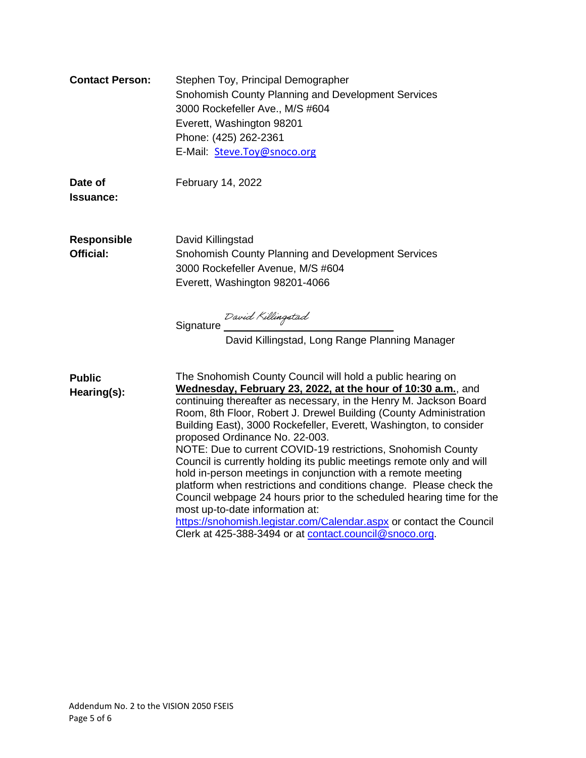| <b>Contact Person:</b>                 | Stephen Toy, Principal Demographer<br>Snohomish County Planning and Development Services<br>3000 Rockefeller Ave., M/S #604<br>Everett, Washington 98201<br>Phone: (425) 262-2361<br>E-Mail: Steve.Toy@snoco.org                                                                                                                                                                                                                                                                                                                                                                                                                                                                                                                                                                                                                                                                                        |
|----------------------------------------|---------------------------------------------------------------------------------------------------------------------------------------------------------------------------------------------------------------------------------------------------------------------------------------------------------------------------------------------------------------------------------------------------------------------------------------------------------------------------------------------------------------------------------------------------------------------------------------------------------------------------------------------------------------------------------------------------------------------------------------------------------------------------------------------------------------------------------------------------------------------------------------------------------|
| Date of<br>Issuance:                   | February 14, 2022                                                                                                                                                                                                                                                                                                                                                                                                                                                                                                                                                                                                                                                                                                                                                                                                                                                                                       |
| <b>Responsible</b><br><b>Official:</b> | David Killingstad<br>Snohomish County Planning and Development Services<br>3000 Rockefeller Avenue, M/S #604<br>Everett, Washington 98201-4066<br>David Killingstad<br>David Killingstad, Long Range Planning Manager                                                                                                                                                                                                                                                                                                                                                                                                                                                                                                                                                                                                                                                                                   |
| <b>Public</b><br>Hearing(s):           | The Snohomish County Council will hold a public hearing on<br>Wednesday, February 23, 2022, at the hour of 10:30 a.m., and<br>continuing thereafter as necessary, in the Henry M. Jackson Board<br>Room, 8th Floor, Robert J. Drewel Building (County Administration<br>Building East), 3000 Rockefeller, Everett, Washington, to consider<br>proposed Ordinance No. 22-003.<br>NOTE: Due to current COVID-19 restrictions, Snohomish County<br>Council is currently holding its public meetings remote only and will<br>hold in-person meetings in conjunction with a remote meeting<br>platform when restrictions and conditions change. Please check the<br>Council webpage 24 hours prior to the scheduled hearing time for the<br>most up-to-date information at:<br>https://snohomish.legistar.com/Calendar.aspx or contact the Council<br>Clerk at 425-388-3494 or at contact.council@snoco.org. |